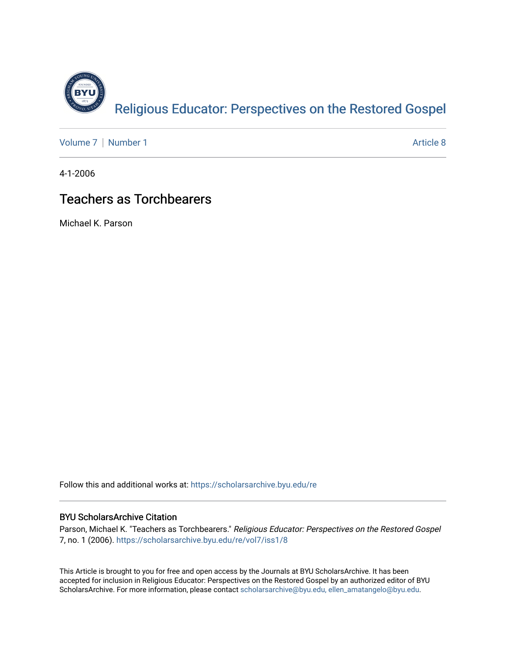

[Volume 7](https://scholarsarchive.byu.edu/re/vol7) | [Number 1](https://scholarsarchive.byu.edu/re/vol7/iss1) Article 8

4-1-2006

## Teachers as Torchbearers

Michael K. Parson

Follow this and additional works at: [https://scholarsarchive.byu.edu/re](https://scholarsarchive.byu.edu/re?utm_source=scholarsarchive.byu.edu%2Fre%2Fvol7%2Fiss1%2F8&utm_medium=PDF&utm_campaign=PDFCoverPages)

### BYU ScholarsArchive Citation

Parson, Michael K. "Teachers as Torchbearers." Religious Educator: Perspectives on the Restored Gospel 7, no. 1 (2006). [https://scholarsarchive.byu.edu/re/vol7/iss1/8](https://scholarsarchive.byu.edu/re/vol7/iss1/8?utm_source=scholarsarchive.byu.edu%2Fre%2Fvol7%2Fiss1%2F8&utm_medium=PDF&utm_campaign=PDFCoverPages)

This Article is brought to you for free and open access by the Journals at BYU ScholarsArchive. It has been accepted for inclusion in Religious Educator: Perspectives on the Restored Gospel by an authorized editor of BYU ScholarsArchive. For more information, please contact [scholarsarchive@byu.edu, ellen\\_amatangelo@byu.edu.](mailto:scholarsarchive@byu.edu,%20ellen_amatangelo@byu.edu)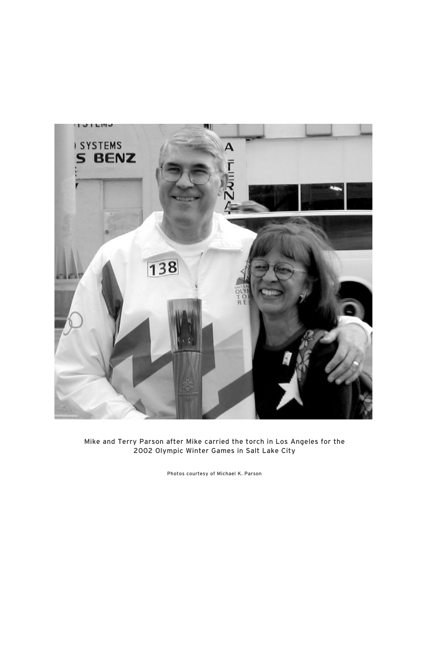

Mike and Terry Parson after Mike carried the torch in Los Angeles for the 2002 Olympic Winter Games in Salt Lake City

Photos courtesy of Michael K. Parson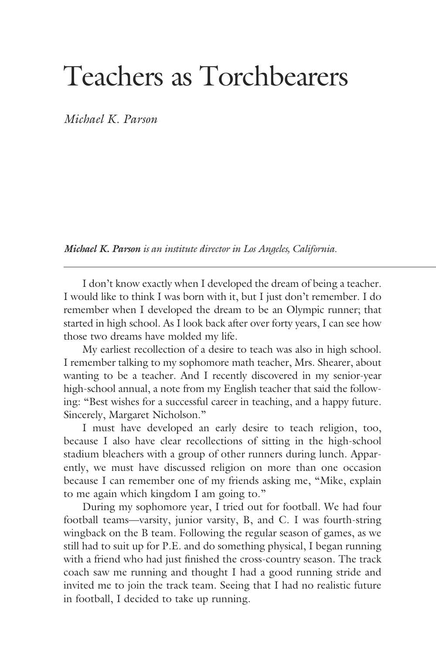# Teachers as Torchbearers

*Michael K. Parson*

*Michael K. Parson is an institute director in Los Angeles, California.*

 I don't know exactly when I developed the dream of being a teacher. I would like to think I was born with it, but I just don't remember. I do remember when I developed the dream to be an Olympic runner; that started in high school. As I look back after over forty years, I can see how those two dreams have molded my life.

 My earliest recollection of a desire to teach was also in high school. I remember talking to my sophomore math teacher, Mrs. Shearer, about wanting to be a teacher. And I recently discovered in my senior-year high-school annual, a note from my English teacher that said the following: "Best wishes for a successful career in teaching, and a happy future. Sincerely, Margaret Nicholson."

 I must have developed an early desire to teach religion, too, because I also have clear recollections of sitting in the high-school stadium bleachers with a group of other runners during lunch. Apparently, we must have discussed religion on more than one occasion because I can remember one of my friends asking me, "Mike, explain to me again which kingdom I am going to."

 During my sophomore year, I tried out for football. We had four football teams—varsity, junior varsity, B, and C. I was fourth-string wingback on the B team. Following the regular season of games, as we still had to suit up for P.E. and do something physical, I began running with a friend who had just finished the cross-country season. The track coach saw me running and thought I had a good running stride and invited me to join the track team. Seeing that I had no realistic future in football, I decided to take up running.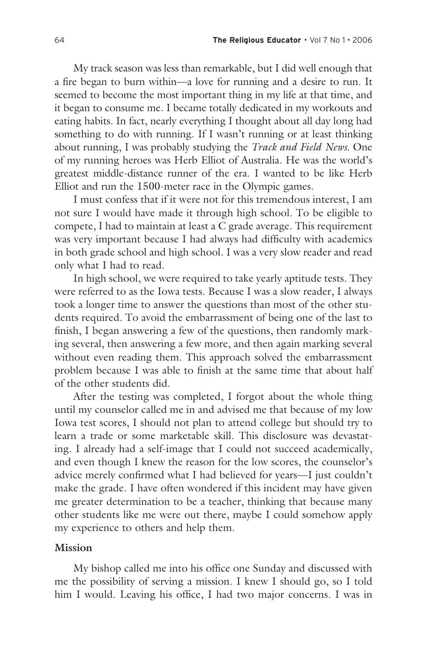My track season was less than remarkable, but I did well enough that a fire began to burn within—a love for running and a desire to run. It seemed to become the most important thing in my life at that time, and it began to consume me. I became totally dedicated in my workouts and eating habits. In fact, nearly everything I thought about all day long had something to do with running. If I wasn't running or at least thinking about running, I was probably studying the *Track and Field News*. One of my running heroes was Herb Elliot of Australia. He was the world's greatest middle-distance runner of the era. I wanted to be like Herb Elliot and run the 1500-meter race in the Olympic games.

 I must confess that if it were not for this tremendous interest, I am not sure I would have made it through high school. To be eligible to compete, I had to maintain at least a C grade average. This requirement was very important because I had always had difficulty with academics in both grade school and high school. I was a very slow reader and read only what I had to read.

 In high school, we were required to take yearly aptitude tests. They were referred to as the Iowa tests. Because I was a slow reader, I always took a longer time to answer the questions than most of the other students required. To avoid the embarrassment of being one of the last to finish, I began answering a few of the questions, then randomly marking several, then answering a few more, and then again marking several without even reading them. This approach solved the embarrassment problem because I was able to finish at the same time that about half of the other students did.

 After the testing was completed, I forgot about the whole thing until my counselor called me in and advised me that because of my low Iowa test scores, I should not plan to attend college but should try to learn a trade or some marketable skill. This disclosure was devastating. I already had a self-image that I could not succeed academically, and even though I knew the reason for the low scores, the counselor's advice merely confirmed what I had believed for years—I just couldn't make the grade. I have often wondered if this incident may have given me greater determination to be a teacher, thinking that because many other students like me were out there, maybe I could somehow apply my experience to others and help them.

#### **Mission**

 My bishop called me into his office one Sunday and discussed with me the possibility of serving a mission. I knew I should go, so I told him I would. Leaving his office, I had two major concerns. I was in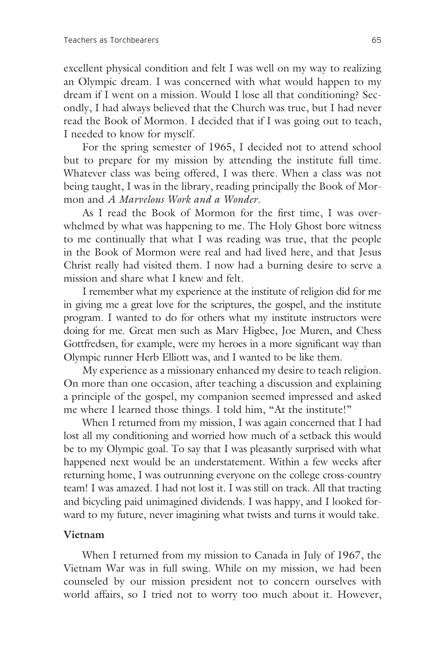excellent physical condition and felt I was well on my way to realizing an Olympic dream. I was concerned with what would happen to my dream if I went on a mission. Would I lose all that conditioning? Secondly, I had always believed that the Church was true, but I had never read the Book of Mormon. I decided that if I was going out to teach, I needed to know for myself.

 For the spring semester of 1965, I decided not to attend school but to prepare for my mission by attending the institute full time. Whatever class was being offered, I was there. When a class was not being taught, I was in the library, reading principally the Book of Mormon and *A Marvelous Work and a Wonder*.

 As I read the Book of Mormon for the first time, I was overwhelmed by what was happening to me. The Holy Ghost bore witness to me continually that what I was reading was true, that the people in the Book of Mormon were real and had lived here, and that Jesus Christ really had visited them. I now had a burning desire to serve a mission and share what I knew and felt.

 I remember what my experience at the institute of religion did for me in giving me a great love for the scriptures, the gospel, and the institute program. I wanted to do for others what my institute instructors were doing for me. Great men such as Marv Higbee, Joe Muren, and Chess Gottfredsen, for example, were my heroes in a more significant way than Olympic runner Herb Elliott was, and I wanted to be like them.

 My experience as a missionary enhanced my desire to teach religion. On more than one occasion, after teaching a discussion and explaining a principle of the gospel, my companion seemed impressed and asked me where I learned those things. I told him, "At the institute!"

 When I returned from my mission, I was again concerned that I had lost all my conditioning and worried how much of a setback this would be to my Olympic goal. To say that I was pleasantly surprised with what happened next would be an understatement. Within a few weeks after returning home, I was outrunning everyone on the college cross-country team! I was amazed. I had not lost it. I was still on track. All that tracting and bicycling paid unimagined dividends. I was happy, and I looked forward to my future, never imagining what twists and turns it would take.

#### **Vietnam**

 When I returned from my mission to Canada in July of 1967, the Vietnam War was in full swing. While on my mission, we had been counseled by our mission president not to concern ourselves with world affairs, so I tried not to worry too much about it. However,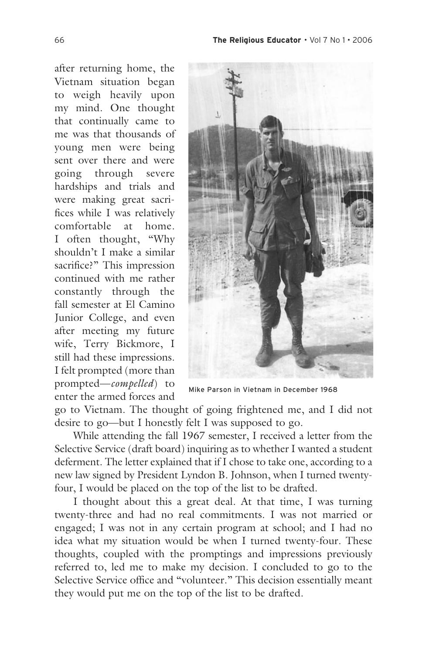after returning home, the Vietnam situation began to weigh heavily upon my mind. One thought that continually came to me was that thousands of young men were being sent over there and were going through severe hardships and trials and were making great sacrifices while I was relatively comfortable at home. I often thought, "Why shouldn't I make a similar sacrifice?" This impression continued with me rather constantly through the fall semester at El Camino Junior College, and even after meeting my future wife, Terry Bickmore, I still had these impressions. I felt prompted (more than prompted—*compelled*) to enter the armed forces and



Mike Parson in Vietnam in December 1968

go to Vietnam. The thought of going frightened me, and I did not desire to go—but I honestly felt I was supposed to go.

 While attending the fall 1967 semester, I received a letter from the Selective Service (draft board) inquiring as to whether I wanted a student deferment. The letter explained that if I chose to take one, according to a new law signed by President Lyndon B. Johnson, when I turned twentyfour, I would be placed on the top of the list to be drafted.

 I thought about this a great deal. At that time, I was turning twenty-three and had no real commitments. I was not married or engaged; I was not in any certain program at school; and I had no idea what my situation would be when I turned twenty-four. These thoughts, coupled with the promptings and impressions previously referred to, led me to make my decision. I concluded to go to the Selective Service office and "volunteer." This decision essentially meant they would put me on the top of the list to be drafted.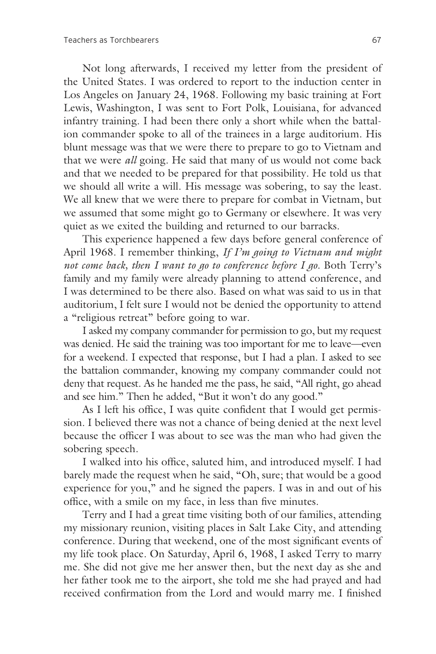Not long afterwards, I received my letter from the president of the United States. I was ordered to report to the induction center in Los Angeles on January 24, 1968. Following my basic training at Fort Lewis, Washington, I was sent to Fort Polk, Louisiana, for advanced infantry training. I had been there only a short while when the battalion commander spoke to all of the trainees in a large auditorium. His blunt message was that we were there to prepare to go to Vietnam and that we were *all* going. He said that many of us would not come back and that we needed to be prepared for that possibility. He told us that we should all write a will. His message was sobering, to say the least. We all knew that we were there to prepare for combat in Vietnam, but we assumed that some might go to Germany or elsewhere. It was very quiet as we exited the building and returned to our barracks.

 This experience happened a few days before general conference of April 1968. I remember thinking, *If I'm going to Vietnam and might not come back, then I want to go to conference before I go.* Both Terry's family and my family were already planning to attend conference, and I was determined to be there also. Based on what was said to us in that auditorium, I felt sure I would not be denied the opportunity to attend a "religious retreat" before going to war.

 I asked my company commander for permission to go, but my request was denied. He said the training was too important for me to leave—even for a weekend. I expected that response, but I had a plan. I asked to see the battalion commander, knowing my company commander could not deny that request. As he handed me the pass, he said, "All right, go ahead and see him." Then he added, "But it won't do any good."

 As I left his office, I was quite confident that I would get permission. I believed there was not a chance of being denied at the next level because the officer I was about to see was the man who had given the sobering speech.

 I walked into his office, saluted him, and introduced myself. I had barely made the request when he said, "Oh, sure; that would be a good experience for you," and he signed the papers. I was in and out of his office, with a smile on my face, in less than five minutes.

 Terry and I had a great time visiting both of our families, attending my missionary reunion, visiting places in Salt Lake City, and attending conference. During that weekend, one of the most significant events of my life took place. On Saturday, April 6, 1968, I asked Terry to marry me. She did not give me her answer then, but the next day as she and her father took me to the airport, she told me she had prayed and had received confirmation from the Lord and would marry me. I finished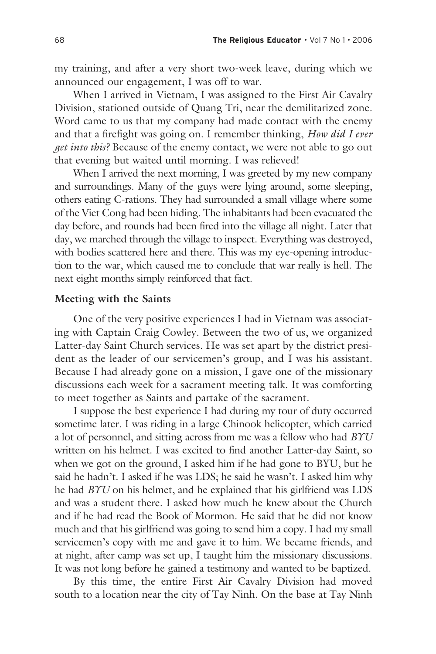my training, and after a very short two-week leave, during which we announced our engagement, I was off to war.

 When I arrived in Vietnam, I was assigned to the First Air Cavalry Division, stationed outside of Quang Tri, near the demilitarized zone. Word came to us that my company had made contact with the enemy and that a firefight was going on. I remember thinking, *How did I ever get into this?* Because of the enemy contact, we were not able to go out that evening but waited until morning. I was relieved!

 When I arrived the next morning, I was greeted by my new company and surroundings. Many of the guys were lying around, some sleeping, others eating C-rations. They had surrounded a small village where some of the Viet Cong had been hiding. The inhabitants had been evacuated the day before, and rounds had been fired into the village all night. Later that day, we marched through the village to inspect. Everything was destroyed, with bodies scattered here and there. This was my eye-opening introduction to the war, which caused me to conclude that war really is hell. The next eight months simply reinforced that fact.

#### **Meeting with the Saints**

 One of the very positive experiences I had in Vietnam was associating with Captain Craig Cowley. Between the two of us, we organized Latter-day Saint Church services. He was set apart by the district president as the leader of our servicemen's group, and I was his assistant. Because I had already gone on a mission, I gave one of the missionary discussions each week for a sacrament meeting talk. It was comforting to meet together as Saints and partake of the sacrament.

 I suppose the best experience I had during my tour of duty occurred sometime later. I was riding in a large Chinook helicopter, which carried a lot of personnel, and sitting across from me was a fellow who had *BYU* written on his helmet. I was excited to find another Latter-day Saint, so when we got on the ground, I asked him if he had gone to BYU, but he said he hadn't. I asked if he was LDS; he said he wasn't. I asked him why he had *BYU* on his helmet, and he explained that his girlfriend was LDS and was a student there. I asked how much he knew about the Church and if he had read the Book of Mormon. He said that he did not know much and that his girlfriend was going to send him a copy. I had my small servicemen's copy with me and gave it to him. We became friends, and at night, after camp was set up, I taught him the missionary discussions. It was not long before he gained a testimony and wanted to be baptized.

 By this time, the entire First Air Cavalry Division had moved south to a location near the city of Tay Ninh. On the base at Tay Ninh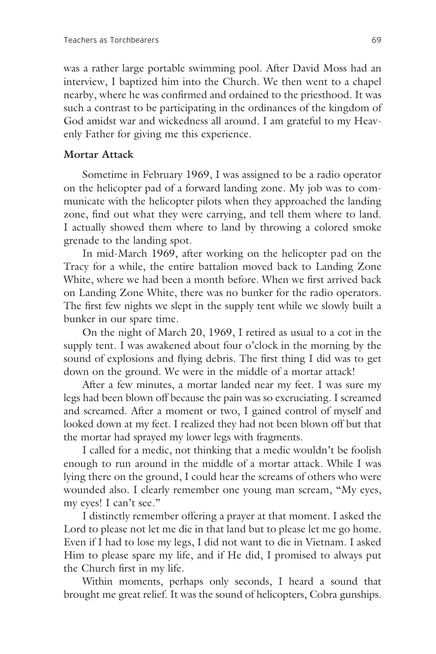was a rather large portable swimming pool. After David Moss had an interview, I baptized him into the Church. We then went to a chapel nearby, where he was confirmed and ordained to the priesthood. It was such a contrast to be participating in the ordinances of the kingdom of God amidst war and wickedness all around. I am grateful to my Heavenly Father for giving me this experience.

#### **Mortar Attack**

 Sometime in February 1969, I was assigned to be a radio operator on the helicopter pad of a forward landing zone. My job was to communicate with the helicopter pilots when they approached the landing zone, find out what they were carrying, and tell them where to land. I actually showed them where to land by throwing a colored smoke grenade to the landing spot.

 In mid-March 1969, after working on the helicopter pad on the Tracy for a while, the entire battalion moved back to Landing Zone White, where we had been a month before. When we first arrived back on Landing Zone White, there was no bunker for the radio operators. The first few nights we slept in the supply tent while we slowly built a bunker in our spare time.

 On the night of March 20, 1969, I retired as usual to a cot in the supply tent. I was awakened about four o'clock in the morning by the sound of explosions and flying debris. The first thing I did was to get down on the ground. We were in the middle of a mortar attack!

 After a few minutes, a mortar landed near my feet. I was sure my legs had been blown off because the pain was so excruciating. I screamed and screamed. After a moment or two, I gained control of myself and looked down at my feet. I realized they had not been blown off but that the mortar had sprayed my lower legs with fragments.

 I called for a medic, not thinking that a medic wouldn't be foolish enough to run around in the middle of a mortar attack. While I was lying there on the ground, I could hear the screams of others who were wounded also. I clearly remember one young man scream, "My eyes, my eyes! I can't see."

 I distinctly remember offering a prayer at that moment. I asked the Lord to please not let me die in that land but to please let me go home. Even if I had to lose my legs, I did not want to die in Vietnam. I asked Him to please spare my life, and if He did, I promised to always put the Church first in my life.

 Within moments, perhaps only seconds, I heard a sound that brought me great relief. It was the sound of helicopters, Cobra gunships.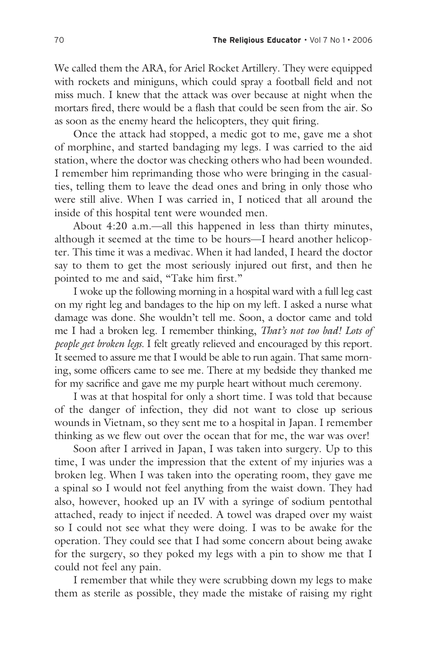We called them the ARA, for Ariel Rocket Artillery. They were equipped with rockets and miniguns, which could spray a football field and not miss much. I knew that the attack was over because at night when the mortars fired, there would be a flash that could be seen from the air. So as soon as the enemy heard the helicopters, they quit firing.

 Once the attack had stopped, a medic got to me, gave me a shot of morphine, and started bandaging my legs. I was carried to the aid station, where the doctor was checking others who had been wounded. I remember him reprimanding those who were bringing in the casualties, telling them to leave the dead ones and bring in only those who were still alive. When I was carried in, I noticed that all around the inside of this hospital tent were wounded men.

 About 4:20 a.m.—all this happened in less than thirty minutes, although it seemed at the time to be hours—I heard another helicopter. This time it was a medivac. When it had landed, I heard the doctor say to them to get the most seriously injured out first, and then he pointed to me and said, "Take him first."

 I woke up the following morning in a hospital ward with a full leg cast on my right leg and bandages to the hip on my left. I asked a nurse what damage was done. She wouldn't tell me. Soon, a doctor came and told me I had a broken leg. I remember thinking, *That's not too bad! Lots of people get broken legs.* I felt greatly relieved and encouraged by this report. It seemed to assure me that I would be able to run again. That same morning, some officers came to see me. There at my bedside they thanked me for my sacrifice and gave me my purple heart without much ceremony.

 I was at that hospital for only a short time. I was told that because of the danger of infection, they did not want to close up serious wounds in Vietnam, so they sent me to a hospital in Japan. I remember thinking as we flew out over the ocean that for me, the war was over!

 Soon after I arrived in Japan, I was taken into surgery. Up to this time, I was under the impression that the extent of my injuries was a broken leg. When I was taken into the operating room, they gave me a spinal so I would not feel anything from the waist down. They had also, however, hooked up an IV with a syringe of sodium pentothal attached, ready to inject if needed. A towel was draped over my waist so I could not see what they were doing. I was to be awake for the operation. They could see that I had some concern about being awake for the surgery, so they poked my legs with a pin to show me that I could not feel any pain.

 I remember that while they were scrubbing down my legs to make them as sterile as possible, they made the mistake of raising my right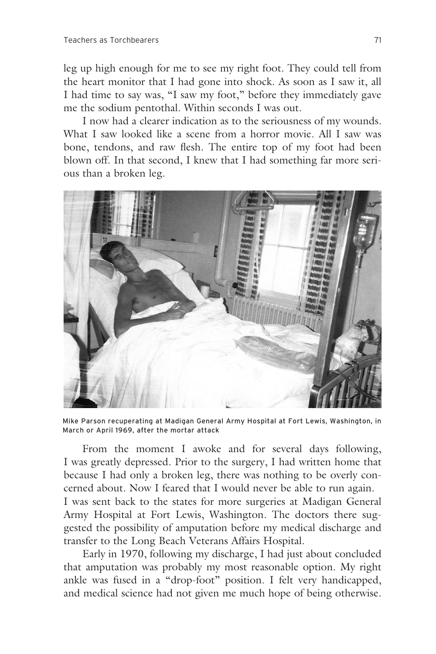leg up high enough for me to see my right foot. They could tell from the heart monitor that I had gone into shock. As soon as I saw it, all I had time to say was, "I saw my foot," before they immediately gave me the sodium pentothal. Within seconds I was out.

 I now had a clearer indication as to the seriousness of my wounds. What I saw looked like a scene from a horror movie. All I saw was bone, tendons, and raw flesh. The entire top of my foot had been blown off. In that second, I knew that I had something far more serious than a broken leg.



Mike Parson recuperating at Madigan General Army Hospital at Fort Lewis, Washington, in March or April 1969, after the mortar attack

 From the moment I awoke and for several days following, I was greatly depressed. Prior to the surgery, I had written home that because I had only a broken leg, there was nothing to be overly concerned about. Now I feared that I would never be able to run again. I was sent back to the states for more surgeries at Madigan General Army Hospital at Fort Lewis, Washington. The doctors there suggested the possibility of amputation before my medical discharge and transfer to the Long Beach Veterans Affairs Hospital.

 Early in 1970, following my discharge, I had just about concluded that amputation was probably my most reasonable option. My right ankle was fused in a "drop-foot" position. I felt very handicapped, and medical science had not given me much hope of being otherwise.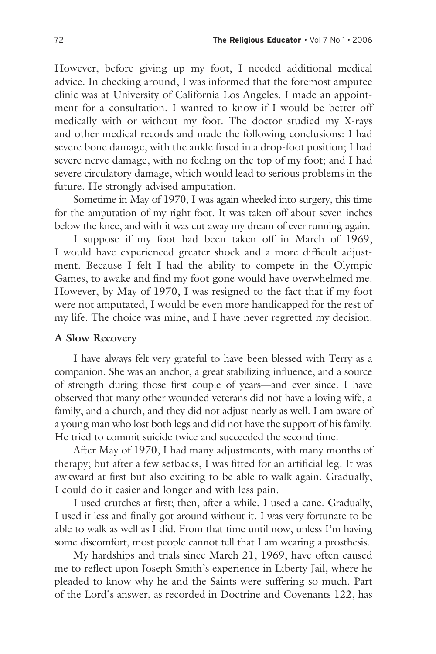However, before giving up my foot, I needed additional medical advice. In checking around, I was informed that the foremost amputee clinic was at University of California Los Angeles. I made an appointment for a consultation. I wanted to know if I would be better off medically with or without my foot. The doctor studied my X-rays and other medical records and made the following conclusions: I had severe bone damage, with the ankle fused in a drop-foot position; I had severe nerve damage, with no feeling on the top of my foot; and I had severe circulatory damage, which would lead to serious problems in the future. He strongly advised amputation.

 Sometime in May of 1970, I was again wheeled into surgery, this time for the amputation of my right foot. It was taken off about seven inches below the knee, and with it was cut away my dream of ever running again.

 I suppose if my foot had been taken off in March of 1969, I would have experienced greater shock and a more difficult adjustment. Because I felt I had the ability to compete in the Olympic Games, to awake and find my foot gone would have overwhelmed me. However, by May of 1970, I was resigned to the fact that if my foot were not amputated, I would be even more handicapped for the rest of my life. The choice was mine, and I have never regretted my decision.

#### **A Slow Recovery**

 I have always felt very grateful to have been blessed with Terry as a companion. She was an anchor, a great stabilizing influence, and a source of strength during those first couple of years—and ever since. I have observed that many other wounded veterans did not have a loving wife, a family, and a church, and they did not adjust nearly as well. I am aware of a young man who lost both legs and did not have the support of his family. He tried to commit suicide twice and succeeded the second time.

 After May of 1970, I had many adjustments, with many months of therapy; but after a few setbacks, I was fitted for an artificial leg. It was awkward at first but also exciting to be able to walk again. Gradually, I could do it easier and longer and with less pain.

 I used crutches at first; then, after a while, I used a cane. Gradually, I used it less and finally got around without it. I was very fortunate to be able to walk as well as I did. From that time until now, unless I'm having some discomfort, most people cannot tell that I am wearing a prosthesis.

 My hardships and trials since March 21, 1969, have often caused me to reflect upon Joseph Smith's experience in Liberty Jail, where he pleaded to know why he and the Saints were suffering so much. Part of the Lord's answer, as recorded in Doctrine and Covenants 122, has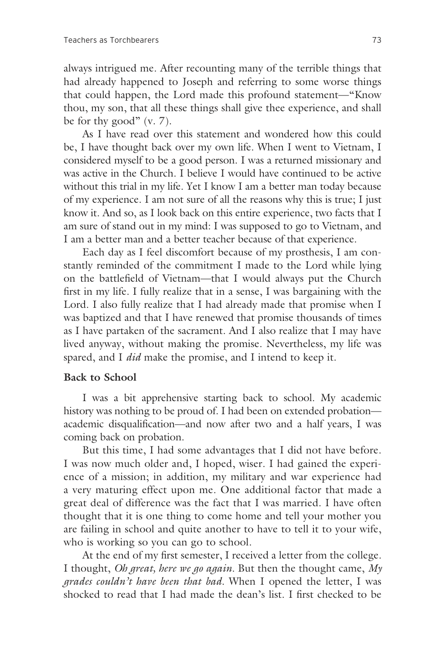always intrigued me. After recounting many of the terrible things that had already happened to Joseph and referring to some worse things that could happen, the Lord made this profound statement—"Know thou, my son, that all these things shall give thee experience, and shall be for thy good"  $(v, 7)$ .

 As I have read over this statement and wondered how this could be, I have thought back over my own life. When I went to Vietnam, I considered myself to be a good person. I was a returned missionary and was active in the Church. I believe I would have continued to be active without this trial in my life. Yet I know I am a better man today because of my experience. I am not sure of all the reasons why this is true; I just know it. And so, as I look back on this entire experience, two facts that I am sure of stand out in my mind: I was supposed to go to Vietnam, and I am a better man and a better teacher because of that experience.

 Each day as I feel discomfort because of my prosthesis, I am constantly reminded of the commitment I made to the Lord while lying on the battlefield of Vietnam—that I would always put the Church first in my life. I fully realize that in a sense, I was bargaining with the Lord. I also fully realize that I had already made that promise when I was baptized and that I have renewed that promise thousands of times as I have partaken of the sacrament. And I also realize that I may have lived anyway, without making the promise. Nevertheless, my life was spared, and I *did* make the promise, and I intend to keep it.

#### **Back to School**

 I was a bit apprehensive starting back to school. My academic history was nothing to be proud of. I had been on extended probation academic disqualification—and now after two and a half years, I was coming back on probation.

 But this time, I had some advantages that I did not have before. I was now much older and, I hoped, wiser. I had gained the experience of a mission; in addition, my military and war experience had a very maturing effect upon me. One additional factor that made a great deal of difference was the fact that I was married. I have often thought that it is one thing to come home and tell your mother you are failing in school and quite another to have to tell it to your wife, who is working so you can go to school.

 At the end of my first semester, I received a letter from the college. I thought, *Oh great, here we go again.* But then the thought came, *My grades couldn't have been that bad.* When I opened the letter, I was shocked to read that I had made the dean's list. I first checked to be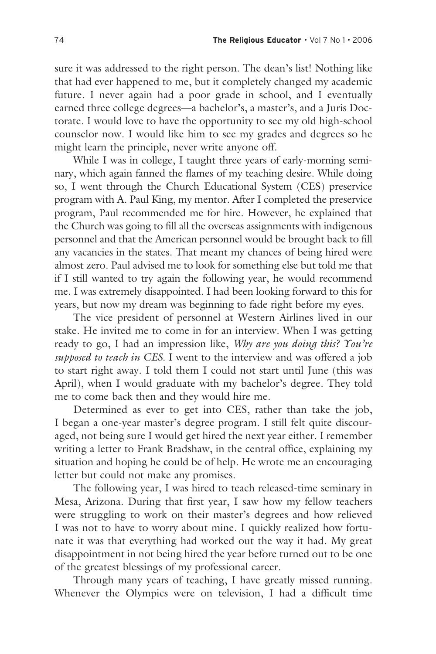sure it was addressed to the right person. The dean's list! Nothing like that had ever happened to me, but it completely changed my academic future. I never again had a poor grade in school, and I eventually earned three college degrees—a bachelor's, a master's, and a Juris Doctorate. I would love to have the opportunity to see my old high-school counselor now. I would like him to see my grades and degrees so he might learn the principle, never write anyone off.

 While I was in college, I taught three years of early-morning seminary, which again fanned the flames of my teaching desire. While doing so, I went through the Church Educational System (CES) preservice program with A. Paul King, my mentor. After I completed the preservice program, Paul recommended me for hire. However, he explained that the Church was going to fill all the overseas assignments with indigenous personnel and that the American personnel would be brought back to fill any vacancies in the states. That meant my chances of being hired were almost zero. Paul advised me to look for something else but told me that if I still wanted to try again the following year, he would recommend me. I was extremely disappointed. I had been looking forward to this for years, but now my dream was beginning to fade right before my eyes.

 The vice president of personnel at Western Airlines lived in our stake. He invited me to come in for an interview. When I was getting ready to go, I had an impression like, *Why are you doing this? You're supposed to teach in CES.* I went to the interview and was offered a job to start right away. I told them I could not start until June (this was April), when I would graduate with my bachelor's degree. They told me to come back then and they would hire me.

 Determined as ever to get into CES, rather than take the job, I began a one-year master's degree program. I still felt quite discouraged, not being sure I would get hired the next year either. I remember writing a letter to Frank Bradshaw, in the central office, explaining my situation and hoping he could be of help. He wrote me an encouraging letter but could not make any promises.

 The following year, I was hired to teach released-time seminary in Mesa, Arizona. During that first year, I saw how my fellow teachers were struggling to work on their master's degrees and how relieved I was not to have to worry about mine. I quickly realized how fortunate it was that everything had worked out the way it had. My great disappointment in not being hired the year before turned out to be one of the greatest blessings of my professional career.

 Through many years of teaching, I have greatly missed running. Whenever the Olympics were on television, I had a difficult time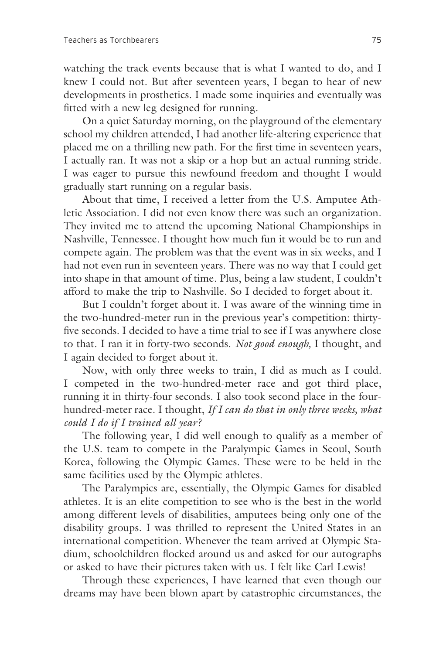watching the track events because that is what I wanted to do, and I knew I could not. But after seventeen years, I began to hear of new developments in prosthetics. I made some inquiries and eventually was fitted with a new leg designed for running.

 On a quiet Saturday morning, on the playground of the elementary school my children attended, I had another life-altering experience that placed me on a thrilling new path. For the first time in seventeen years, I actually ran. It was not a skip or a hop but an actual running stride. I was eager to pursue this newfound freedom and thought I would gradually start running on a regular basis.

 About that time, I received a letter from the U.S. Amputee Athletic Association. I did not even know there was such an organization. They invited me to attend the upcoming National Championships in Nashville, Tennessee. I thought how much fun it would be to run and compete again. The problem was that the event was in six weeks, and I had not even run in seventeen years. There was no way that I could get into shape in that amount of time. Plus, being a law student, I couldn't afford to make the trip to Nashville. So I decided to forget about it.

 But I couldn't forget about it. I was aware of the winning time in the two-hundred-meter run in the previous year's competition: thirtyfive seconds. I decided to have a time trial to see if I was anywhere close to that. I ran it in forty-two seconds. *Not good enough,* I thought, and I again decided to forget about it.

 Now, with only three weeks to train, I did as much as I could. I competed in the two-hundred-meter race and got third place, running it in thirty-four seconds. I also took second place in the fourhundred-meter race. I thought, *If I can do that in only three weeks, what could I do if I trained all year?*

 The following year, I did well enough to qualify as a member of the U.S. team to compete in the Paralympic Games in Seoul, South Korea, following the Olympic Games. These were to be held in the same facilities used by the Olympic athletes.

 The Paralympics are, essentially, the Olympic Games for disabled athletes. It is an elite competition to see who is the best in the world among different levels of disabilities, amputees being only one of the disability groups. I was thrilled to represent the United States in an international competition. Whenever the team arrived at Olympic Stadium, schoolchildren flocked around us and asked for our autographs or asked to have their pictures taken with us. I felt like Carl Lewis!

 Through these experiences, I have learned that even though our dreams may have been blown apart by catastrophic circumstances, the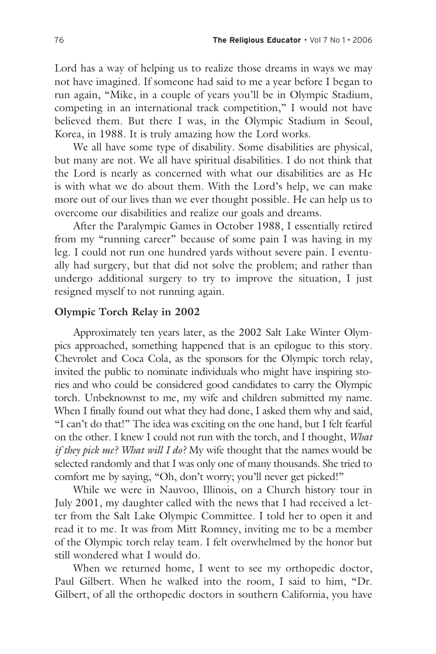Lord has a way of helping us to realize those dreams in ways we may not have imagined. If someone had said to me a year before I began to run again, "Mike, in a couple of years you'll be in Olympic Stadium, competing in an international track competition," I would not have believed them. But there I was, in the Olympic Stadium in Seoul, Korea, in 1988. It is truly amazing how the Lord works.

 We all have some type of disability. Some disabilities are physical, but many are not. We all have spiritual disabilities. I do not think that the Lord is nearly as concerned with what our disabilities are as He is with what we do about them. With the Lord's help, we can make more out of our lives than we ever thought possible. He can help us to overcome our disabilities and realize our goals and dreams.

 After the Paralympic Games in October 1988, I essentially retired from my "running career" because of some pain I was having in my leg. I could not run one hundred yards without severe pain. I eventually had surgery, but that did not solve the problem; and rather than undergo additional surgery to try to improve the situation, I just resigned myself to not running again.

#### **Olympic Torch Relay in 2002**

 Approximately ten years later, as the 2002 Salt Lake Winter Olympics approached, something happened that is an epilogue to this story. Chevrolet and Coca Cola, as the sponsors for the Olympic torch relay, invited the public to nominate individuals who might have inspiring stories and who could be considered good candidates to carry the Olympic torch. Unbeknownst to me, my wife and children submitted my name. When I finally found out what they had done, I asked them why and said, "I can't do that!" The idea was exciting on the one hand, but I felt fearful on the other. I knew I could not run with the torch, and I thought, *What if they pick me? What will I do?* My wife thought that the names would be selected randomly and that I was only one of many thousands. She tried to comfort me by saying, "Oh, don't worry; you'll never get picked!"

 While we were in Nauvoo, Illinois, on a Church history tour in July 2001, my daughter called with the news that I had received a letter from the Salt Lake Olympic Committee. I told her to open it and read it to me. It was from Mitt Romney, inviting me to be a member of the Olympic torch relay team. I felt overwhelmed by the honor but still wondered what I would do.

 When we returned home, I went to see my orthopedic doctor, Paul Gilbert. When he walked into the room, I said to him, "Dr. Gilbert, of all the orthopedic doctors in southern California, you have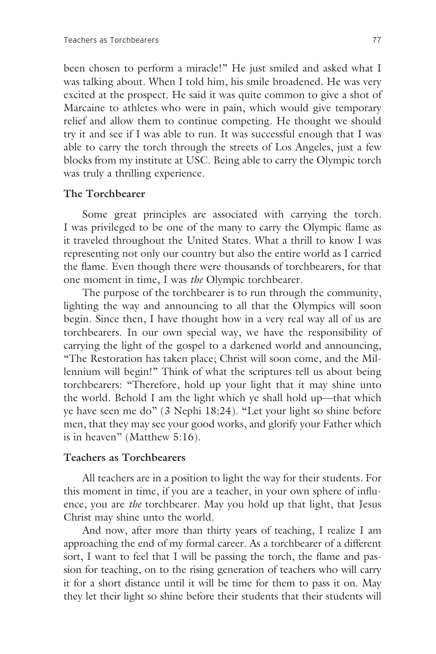been chosen to perform a miracle!" He just smiled and asked what I was talking about. When I told him, his smile broadened. He was very excited at the prospect. He said it was quite common to give a shot of Marcaine to athletes who were in pain, which would give temporary relief and allow them to continue competing. He thought we should try it and see if I was able to run. It was successful enough that I was able to carry the torch through the streets of Los Angeles, just a few blocks from my institute at USC. Being able to carry the Olympic torch was truly a thrilling experience.

#### **The Torchbearer**

 Some great principles are associated with carrying the torch. I was privileged to be one of the many to carry the Olympic flame as it traveled throughout the United States. What a thrill to know I was representing not only our country but also the entire world as I carried the flame. Even though there were thousands of torchbearers, for that one moment in time, I was *the* Olympic torchbearer.

 The purpose of the torchbearer is to run through the community, lighting the way and announcing to all that the Olympics will soon begin. Since then, I have thought how in a very real way all of us are torchbearers. In our own special way, we have the responsibility of carrying the light of the gospel to a darkened world and announcing, "The Restoration has taken place; Christ will soon come, and the Millennium will begin!" Think of what the scriptures tell us about being torchbearers: "Therefore, hold up your light that it may shine unto the world. Behold I am the light which ye shall hold up—that which ye have seen me do" (3 Nephi 18:24). "Let your light so shine before men, that they may see your good works, and glorify your Father which is in heaven" (Matthew 5:16).

#### **Teachers as Torchbearers**

 All teachers are in a position to light the way for their students. For this moment in time, if you are a teacher, in your own sphere of influence, you are *the* torchbearer. May you hold up that light, that Jesus Christ may shine unto the world.

 And now, after more than thirty years of teaching, I realize I am approaching the end of my formal career. As a torchbearer of a different sort, I want to feel that I will be passing the torch, the flame and passion for teaching, on to the rising generation of teachers who will carry it for a short distance until it will be time for them to pass it on. May they let their light so shine before their students that their students will